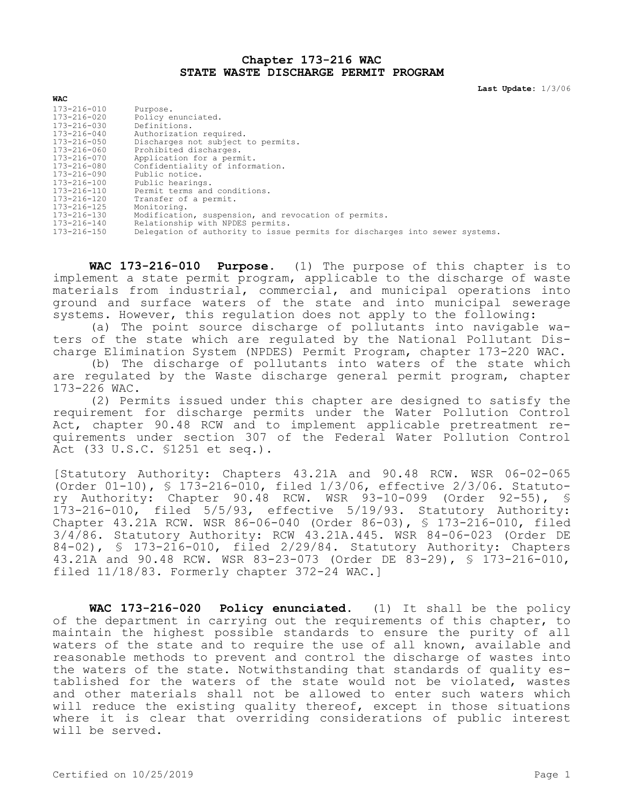## **Chapter 173-216 WAC STATE WASTE DISCHARGE PERMIT PROGRAM**

**Last Update:** 1/3/06

| <b>WAC</b>        |                                                                             |
|-------------------|-----------------------------------------------------------------------------|
| 173-216-010       | Purpose.                                                                    |
| 173-216-020       | Policy enunciated.                                                          |
| 173-216-030       | Definitions.                                                                |
| $173 - 216 - 040$ | Authorization required.                                                     |
| $173 - 216 - 050$ | Discharges not subject to permits.                                          |
| 173-216-060       | Prohibited discharges.                                                      |
| 173-216-070       | Application for a permit.                                                   |
| 173-216-080       | Confidentiality of information.                                             |
| 173-216-090       | Public notice.                                                              |
| $173 - 216 - 100$ | Public hearings.                                                            |
| 173-216-110       | Permit terms and conditions.                                                |
| 173-216-120       | Transfer of a permit.                                                       |
| 173-216-125       | Monitoring.                                                                 |
| 173-216-130       | Modification, suspension, and revocation of permits.                        |
| 173-216-140       | Relationship with NPDES permits.                                            |
| 173-216-150       | Delegation of authority to issue permits for discharges into sewer systems. |

**WAC 173-216-010 Purpose.** (1) The purpose of this chapter is to implement a state permit program, applicable to the discharge of waste materials from industrial, commercial, and municipal operations into ground and surface waters of the state and into municipal sewerage systems. However, this regulation does not apply to the following:

(a) The point source discharge of pollutants into navigable waters of the state which are regulated by the National Pollutant Discharge Elimination System (NPDES) Permit Program, chapter 173-220 WAC.

(b) The discharge of pollutants into waters of the state which are regulated by the Waste discharge general permit program, chapter 173-226 WAC.

(2) Permits issued under this chapter are designed to satisfy the requirement for discharge permits under the Water Pollution Control Act, chapter 90.48 RCW and to implement applicable pretreatment requirements under section 307 of the Federal Water Pollution Control Act (33 U.S.C. §1251 et seq.).

[Statutory Authority: Chapters 43.21A and 90.48 RCW. WSR 06-02-065 (Order 01-10), § 173-216-010, filed 1/3/06, effective 2/3/06. Statutory Authority: Chapter 90.48 RCW. WSR 93-10-099 (Order 92-55), § 173-216-010, filed 5/5/93, effective 5/19/93. Statutory Authority: Chapter 43.21A RCW. WSR 86-06-040 (Order 86-03), § 173-216-010, filed 3/4/86. Statutory Authority: RCW 43.21A.445. WSR 84-06-023 (Order DE 84-02), § 173-216-010, filed 2/29/84. Statutory Authority: Chapters 43.21A and 90.48 RCW. WSR 83-23-073 (Order DE 83-29), § 173-216-010, filed 11/18/83. Formerly chapter 372-24 WAC.]

**WAC 173-216-020 Policy enunciated.** (1) It shall be the policy of the department in carrying out the requirements of this chapter, to maintain the highest possible standards to ensure the purity of all waters of the state and to require the use of all known, available and reasonable methods to prevent and control the discharge of wastes into the waters of the state. Notwithstanding that standards of quality established for the waters of the state would not be violated, wastes and other materials shall not be allowed to enter such waters which will reduce the existing quality thereof, except in those situations where it is clear that overriding considerations of public interest will be served.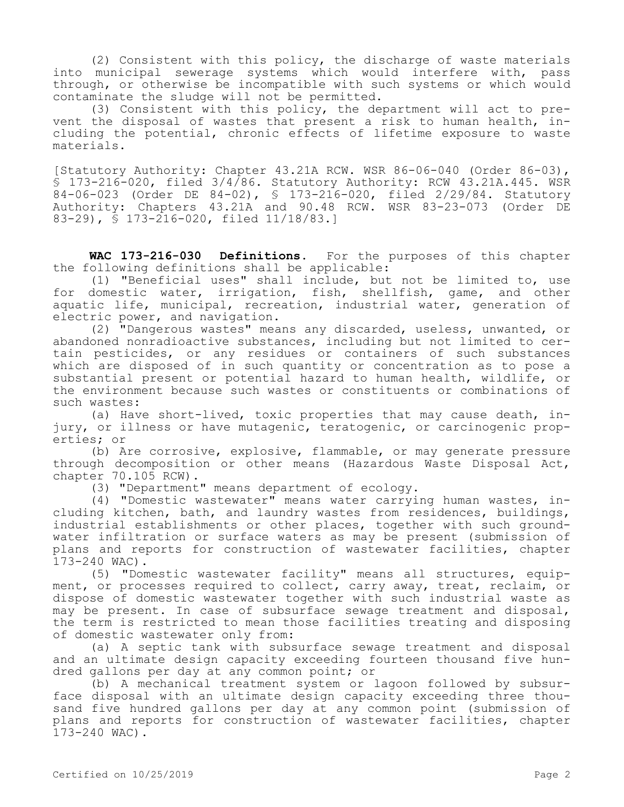(2) Consistent with this policy, the discharge of waste materials into municipal sewerage systems which would interfere with, pass through, or otherwise be incompatible with such systems or which would contaminate the sludge will not be permitted.

(3) Consistent with this policy, the department will act to prevent the disposal of wastes that present a risk to human health, including the potential, chronic effects of lifetime exposure to waste materials.

[Statutory Authority: Chapter 43.21A RCW. WSR 86-06-040 (Order 86-03), § 173-216-020, filed 3/4/86. Statutory Authority: RCW 43.21A.445. WSR 84-06-023 (Order DE 84-02), § 173-216-020, filed 2/29/84. Statutory Authority: Chapters 43.21A and 90.48 RCW. WSR 83-23-073 (Order DE 83-29), § 173-216-020, filed 11/18/83.]

**WAC 173-216-030 Definitions.** For the purposes of this chapter the following definitions shall be applicable:

(1) "Beneficial uses" shall include, but not be limited to, use for domestic water, irrigation, fish, shellfish, game, and other aquatic life, municipal, recreation, industrial water, generation of electric power, and navigation.

(2) "Dangerous wastes" means any discarded, useless, unwanted, or abandoned nonradioactive substances, including but not limited to certain pesticides, or any residues or containers of such substances which are disposed of in such quantity or concentration as to pose a substantial present or potential hazard to human health, wildlife, or the environment because such wastes or constituents or combinations of such wastes:

(a) Have short-lived, toxic properties that may cause death, injury, or illness or have mutagenic, teratogenic, or carcinogenic properties; or

(b) Are corrosive, explosive, flammable, or may generate pressure through decomposition or other means (Hazardous Waste Disposal Act, chapter 70.105 RCW).

(3) "Department" means department of ecology.

(4) "Domestic wastewater" means water carrying human wastes, including kitchen, bath, and laundry wastes from residences, buildings, industrial establishments or other places, together with such groundwater infiltration or surface waters as may be present (submission of plans and reports for construction of wastewater facilities, chapter 173-240 WAC).

(5) "Domestic wastewater facility" means all structures, equipment, or processes required to collect, carry away, treat, reclaim, or dispose of domestic wastewater together with such industrial waste as may be present. In case of subsurface sewage treatment and disposal, the term is restricted to mean those facilities treating and disposing of domestic wastewater only from:

(a) A septic tank with subsurface sewage treatment and disposal and an ultimate design capacity exceeding fourteen thousand five hundred gallons per day at any common point; or

(b) A mechanical treatment system or lagoon followed by subsurface disposal with an ultimate design capacity exceeding three thousand five hundred gallons per day at any common point (submission of plans and reports for construction of wastewater facilities, chapter 173-240 WAC).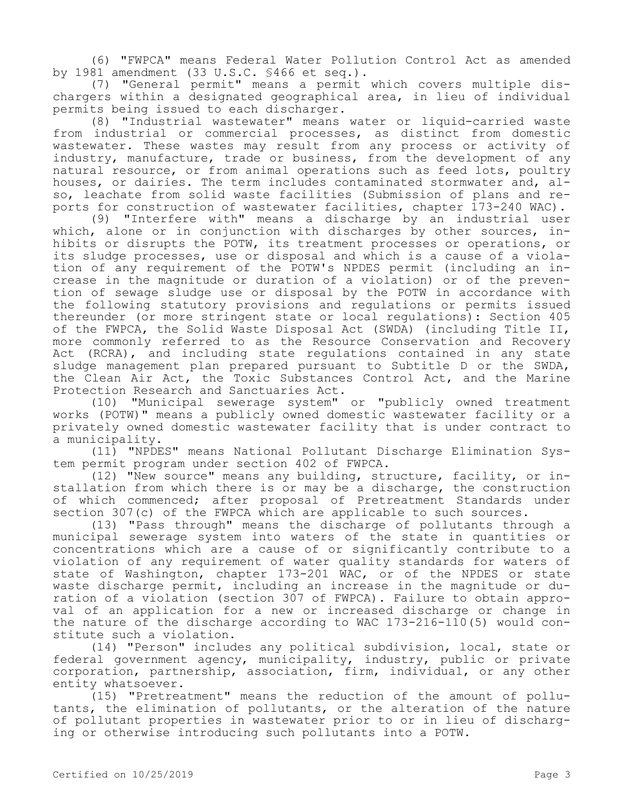(6) "FWPCA" means Federal Water Pollution Control Act as amended by 1981 amendment (33 U.S.C. §466 et seq.).

(7) "General permit" means a permit which covers multiple dischargers within a designated geographical area, in lieu of individual permits being issued to each discharger.

(8) "Industrial wastewater" means water or liquid-carried waste from industrial or commercial processes, as distinct from domestic wastewater. These wastes may result from any process or activity of industry, manufacture, trade or business, from the development of any natural resource, or from animal operations such as feed lots, poultry houses, or dairies. The term includes contaminated stormwater and, also, leachate from solid waste facilities (Submission of plans and reports for construction of wastewater facilities, chapter 173-240 WAC).

(9) "Interfere with" means a discharge by an industrial user which, alone or in conjunction with discharges by other sources, inhibits or disrupts the POTW, its treatment processes or operations, or its sludge processes, use or disposal and which is a cause of a violation of any requirement of the POTW's NPDES permit (including an increase in the magnitude or duration of a violation) or of the prevention of sewage sludge use or disposal by the POTW in accordance with the following statutory provisions and regulations or permits issued thereunder (or more stringent state or local regulations): Section 405 of the FWPCA, the Solid Waste Disposal Act (SWDA) (including Title II, more commonly referred to as the Resource Conservation and Recovery Act (RCRA), and including state regulations contained in any state sludge management plan prepared pursuant to Subtitle D or the SWDA, the Clean Air Act, the Toxic Substances Control Act, and the Marine Protection Research and Sanctuaries Act.

(10) "Municipal sewerage system" or "publicly owned treatment works (POTW)" means a publicly owned domestic wastewater facility or a privately owned domestic wastewater facility that is under contract to a municipality.

(11) "NPDES" means National Pollutant Discharge Elimination System permit program under section 402 of FWPCA.

(12) "New source" means any building, structure, facility, or installation from which there is or may be a discharge, the construction of which commenced; after proposal of Pretreatment Standards under section 307(c) of the FWPCA which are applicable to such sources.

(13) "Pass through" means the discharge of pollutants through a municipal sewerage system into waters of the state in quantities or concentrations which are a cause of or significantly contribute to a violation of any requirement of water quality standards for waters of state of Washington, chapter 173-201 WAC, or of the NPDES or state waste discharge permit, including an increase in the magnitude or duration of a violation (section 307 of FWPCA). Failure to obtain approval of an application for a new or increased discharge or change in the nature of the discharge according to WAC 173-216-110(5) would constitute such a violation.

(14) "Person" includes any political subdivision, local, state or federal government agency, municipality, industry, public or private corporation, partnership, association, firm, individual, or any other entity whatsoever.

(15) "Pretreatment" means the reduction of the amount of pollutants, the elimination of pollutants, or the alteration of the nature of pollutant properties in wastewater prior to or in lieu of discharging or otherwise introducing such pollutants into a POTW.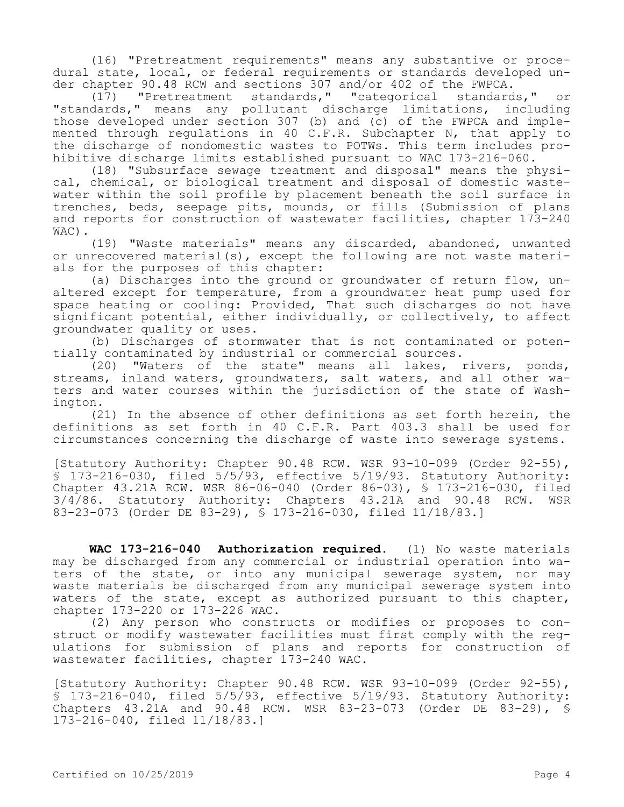(16) "Pretreatment requirements" means any substantive or procedural state, local, or federal requirements or standards developed under chapter 90.48 RCW and sections 307 and/or 402 of the FWPCA.

(17) "Pretreatment standards," "categorical standards," or "standards," means any pollutant discharge limitations, including those developed under section 307 (b) and (c) of the FWPCA and implemented through regulations in 40 C.F.R. Subchapter N, that apply to the discharge of nondomestic wastes to POTWs. This term includes prohibitive discharge limits established pursuant to WAC 173-216-060.

(18) "Subsurface sewage treatment and disposal" means the physical, chemical, or biological treatment and disposal of domestic wastewater within the soil profile by placement beneath the soil surface in trenches, beds, seepage pits, mounds, or fills (Submission of plans and reports for construction of wastewater facilities, chapter 173-240 WAC).

(19) "Waste materials" means any discarded, abandoned, unwanted or unrecovered material(s), except the following are not waste materials for the purposes of this chapter:

(a) Discharges into the ground or groundwater of return flow, unaltered except for temperature, from a groundwater heat pump used for space heating or cooling: Provided, That such discharges do not have significant potential, either individually, or collectively, to affect groundwater quality or uses.

(b) Discharges of stormwater that is not contaminated or potentially contaminated by industrial or commercial sources.

 $(20)$  "Waters of the state" means all lakes, rivers, ponds, streams, inland waters, groundwaters, salt waters, and all other waters and water courses within the jurisdiction of the state of Washington.

(21) In the absence of other definitions as set forth herein, the definitions as set forth in 40 C.F.R. Part 403.3 shall be used for circumstances concerning the discharge of waste into sewerage systems.

[Statutory Authority: Chapter 90.48 RCW. WSR 93-10-099 (Order 92-55), § 173-216-030, filed 5/5/93, effective 5/19/93. Statutory Authority: Chapter 43.21A RCW. WSR 86-06-040 (Order 86-03), § 173-216-030, filed 3/4/86. Statutory Authority: Chapters 43.21A and 90.48 RCW. WSR 83-23-073 (Order DE 83-29), § 173-216-030, filed 11/18/83.]

**WAC 173-216-040 Authorization required.** (1) No waste materials may be discharged from any commercial or industrial operation into waters of the state, or into any municipal sewerage system, nor may waste materials be discharged from any municipal sewerage system into waters of the state, except as authorized pursuant to this chapter, chapter 173-220 or 173-226 WAC.

(2) Any person who constructs or modifies or proposes to construct or modify wastewater facilities must first comply with the regulations for submission of plans and reports for construction of wastewater facilities, chapter 173-240 WAC.

[Statutory Authority: Chapter 90.48 RCW. WSR 93-10-099 (Order 92-55),  $$ 173-216-040$ , filed  $5/5/93$ , effective  $5/19/93$ . Statutory Authority: Chapters 43.21A and 90.48 RCW. WSR 83-23-073 (Order DE 83-29), § 173-216-040, filed 11/18/83.]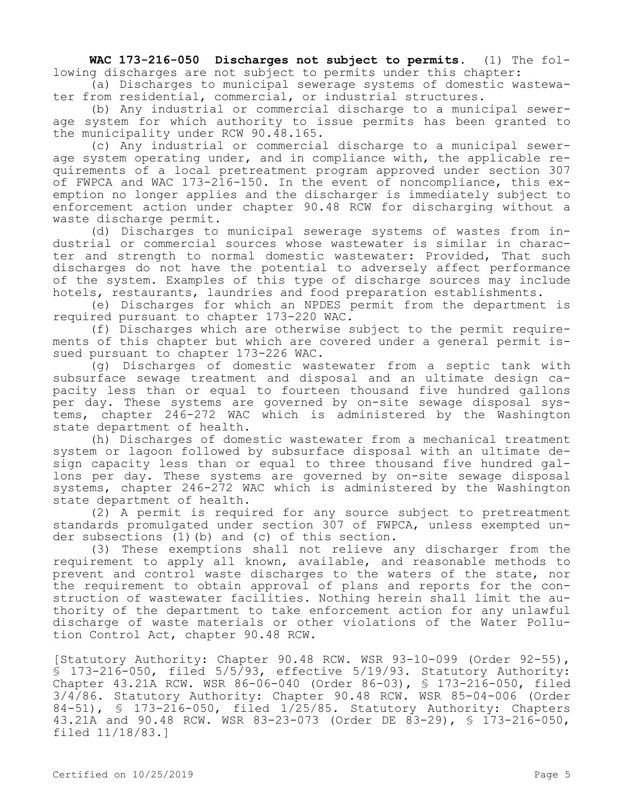**WAC 173-216-050 Discharges not subject to permits.** (1) The following discharges are not subject to permits under this chapter:

(a) Discharges to municipal sewerage systems of domestic wastewater from residential, commercial, or industrial structures.

(b) Any industrial or commercial discharge to a municipal sewerage system for which authority to issue permits has been granted to the municipality under RCW 90.48.165.

(c) Any industrial or commercial discharge to a municipal sewerage system operating under, and in compliance with, the applicable requirements of a local pretreatment program approved under section 307 of FWPCA and WAC 173-216-150. In the event of noncompliance, this exemption no longer applies and the discharger is immediately subject to enforcement action under chapter 90.48 RCW for discharging without a waste discharge permit.

(d) Discharges to municipal sewerage systems of wastes from industrial or commercial sources whose wastewater is similar in character and strength to normal domestic wastewater: Provided, That such discharges do not have the potential to adversely affect performance of the system. Examples of this type of discharge sources may include hotels, restaurants, laundries and food preparation establishments.

(e) Discharges for which an NPDES permit from the department is required pursuant to chapter 173-220 WAC.

(f) Discharges which are otherwise subject to the permit requirements of this chapter but which are covered under a general permit issued pursuant to chapter 173-226 WAC.

(g) Discharges of domestic wastewater from a septic tank with subsurface sewage treatment and disposal and an ultimate design capacity less than or equal to fourteen thousand five hundred gallons per day. These systems are governed by on-site sewage disposal systems, chapter 246-272 WAC which is administered by the Washington state department of health.

(h) Discharges of domestic wastewater from a mechanical treatment system or lagoon followed by subsurface disposal with an ultimate design capacity less than or equal to three thousand five hundred gallons per day. These systems are governed by on-site sewage disposal systems, chapter 246-272 WAC which is administered by the Washington state department of health.

(2) A permit is required for any source subject to pretreatment standards promulgated under section 307 of FWPCA, unless exempted under subsections (1)(b) and (c) of this section.

(3) These exemptions shall not relieve any discharger from the requirement to apply all known, available, and reasonable methods to prevent and control waste discharges to the waters of the state, nor the requirement to obtain approval of plans and reports for the construction of wastewater facilities. Nothing herein shall limit the authority of the department to take enforcement action for any unlawful discharge of waste materials or other violations of the Water Pollution Control Act, chapter 90.48 RCW.

[Statutory Authority: Chapter 90.48 RCW. WSR 93-10-099 (Order 92-55), § 173-216-050, filed 5/5/93, effective 5/19/93. Statutory Authority: Chapter 43.21A RCW. WSR 86-06-040 (Order 86-03), § 173-216-050, filed 3/4/86. Statutory Authority: Chapter 90.48 RCW. WSR 85-04-006 (Order 84-51), § 173-216-050, filed 1/25/85. Statutory Authority: Chapters 43.21A and 90.48 RCW. WSR 83-23-073 (Order DE 83-29), § 173-216-050, filed 11/18/83.]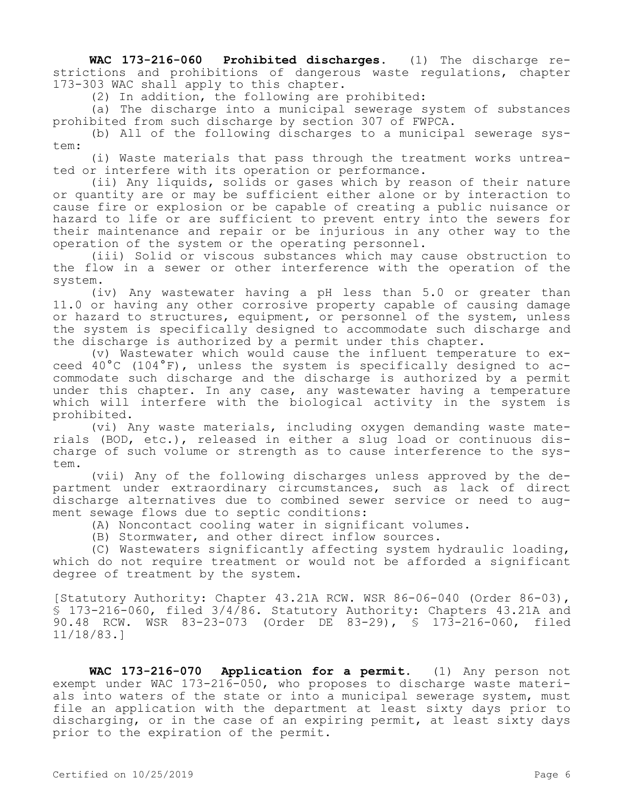**WAC 173-216-060 Prohibited discharges.** (1) The discharge restrictions and prohibitions of dangerous waste regulations, chapter 173-303 WAC shall apply to this chapter.

(2) In addition, the following are prohibited:

(a) The discharge into a municipal sewerage system of substances prohibited from such discharge by section 307 of FWPCA.

(b) All of the following discharges to a municipal sewerage system:

(i) Waste materials that pass through the treatment works untreated or interfere with its operation or performance.

(ii) Any liquids, solids or gases which by reason of their nature or quantity are or may be sufficient either alone or by interaction to cause fire or explosion or be capable of creating a public nuisance or hazard to life or are sufficient to prevent entry into the sewers for their maintenance and repair or be injurious in any other way to the operation of the system or the operating personnel.

(iii) Solid or viscous substances which may cause obstruction to the flow in a sewer or other interference with the operation of the system.

(iv) Any wastewater having a pH less than 5.0 or greater than 11.0 or having any other corrosive property capable of causing damage or hazard to structures, equipment, or personnel of the system, unless the system is specifically designed to accommodate such discharge and the discharge is authorized by a permit under this chapter.

(v) Wastewater which would cause the influent temperature to exceed 40°C (104°F), unless the system is specifically designed to accommodate such discharge and the discharge is authorized by a permit under this chapter. In any case, any wastewater having a temperature which will interfere with the biological activity in the system is prohibited.

(vi) Any waste materials, including oxygen demanding waste materials (BOD, etc.), released in either a slug load or continuous discharge of such volume or strength as to cause interference to the system.

(vii) Any of the following discharges unless approved by the department under extraordinary circumstances, such as lack of direct discharge alternatives due to combined sewer service or need to augment sewage flows due to septic conditions:

(A) Noncontact cooling water in significant volumes.

(B) Stormwater, and other direct inflow sources.

(C) Wastewaters significantly affecting system hydraulic loading, which do not require treatment or would not be afforded a significant degree of treatment by the system.

[Statutory Authority: Chapter 43.21A RCW. WSR 86-06-040 (Order 86-03), § 173-216-060, filed 3/4/86. Statutory Authority: Chapters 43.21A and 90.48 RCW. WSR 83-23-073 (Order DE 83-29), § 173-216-060, filed 11/18/83.]

**WAC 173-216-070 Application for a permit.** (1) Any person not exempt under WAC 173-216-050, who proposes to discharge waste materials into waters of the state or into a municipal sewerage system, must file an application with the department at least sixty days prior to discharging, or in the case of an expiring permit, at least sixty days prior to the expiration of the permit.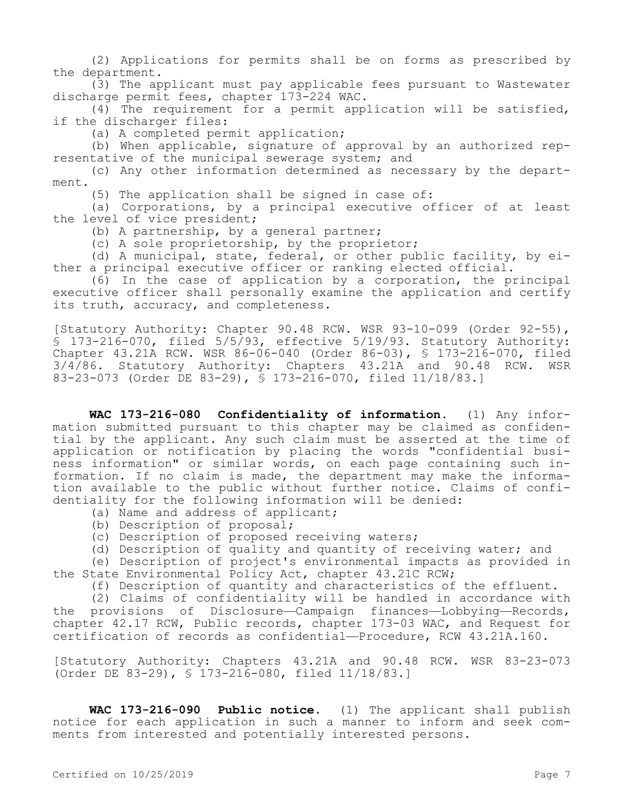(2) Applications for permits shall be on forms as prescribed by the department.

(3) The applicant must pay applicable fees pursuant to Wastewater discharge permit fees, chapter 173-224 WAC.

(4) The requirement for a permit application will be satisfied, if the discharger files:

(a) A completed permit application;

(b) When applicable, signature of approval by an authorized representative of the municipal sewerage system; and

(c) Any other information determined as necessary by the department.

(5) The application shall be signed in case of:

(a) Corporations, by a principal executive officer of at least the level of vice president;

(b) A partnership, by a general partner;

(c) A sole proprietorship, by the proprietor;

(d) A municipal, state, federal, or other public facility, by either a principal executive officer or ranking elected official.

(6) In the case of application by a corporation, the principal executive officer shall personally examine the application and certify its truth, accuracy, and completeness.

[Statutory Authority: Chapter 90.48 RCW. WSR 93-10-099 (Order 92-55), § 173-216-070, filed 5/5/93, effective 5/19/93. Statutory Authority: Chapter 43.21A RCW. WSR 86-06-040 (Order 86-03), § 173-216-070, filed 3/4/86. Statutory Authority: Chapters 43.21A and 90.48 RCW. WSR 83-23-073 (Order DE 83-29), § 173-216-070, filed 11/18/83.]

**WAC 173-216-080 Confidentiality of information.** (1) Any information submitted pursuant to this chapter may be claimed as confidential by the applicant. Any such claim must be asserted at the time of application or notification by placing the words "confidential business information" or similar words, on each page containing such information. If no claim is made, the department may make the information available to the public without further notice. Claims of confidentiality for the following information will be denied:

(a) Name and address of applicant;

- (b) Description of proposal;
- (c) Description of proposed receiving waters;

(d) Description of quality and quantity of receiving water; and

(e) Description of project's environmental impacts as provided in the State Environmental Policy Act, chapter 43.21C RCW;

(f) Description of quantity and characteristics of the effluent.

(2) Claims of confidentiality will be handled in accordance with the provisions of Disclosure—Campaign finances—Lobbying—Records, chapter 42.17 RCW, Public records, chapter 173-03 WAC, and Request for certification of records as confidential—Procedure, RCW 43.21A.160.

[Statutory Authority: Chapters 43.21A and 90.48 RCW. WSR 83-23-073 (Order DE 83-29), § 173-216-080, filed 11/18/83.]

**WAC 173-216-090 Public notice.** (1) The applicant shall publish notice for each application in such a manner to inform and seek comments from interested and potentially interested persons.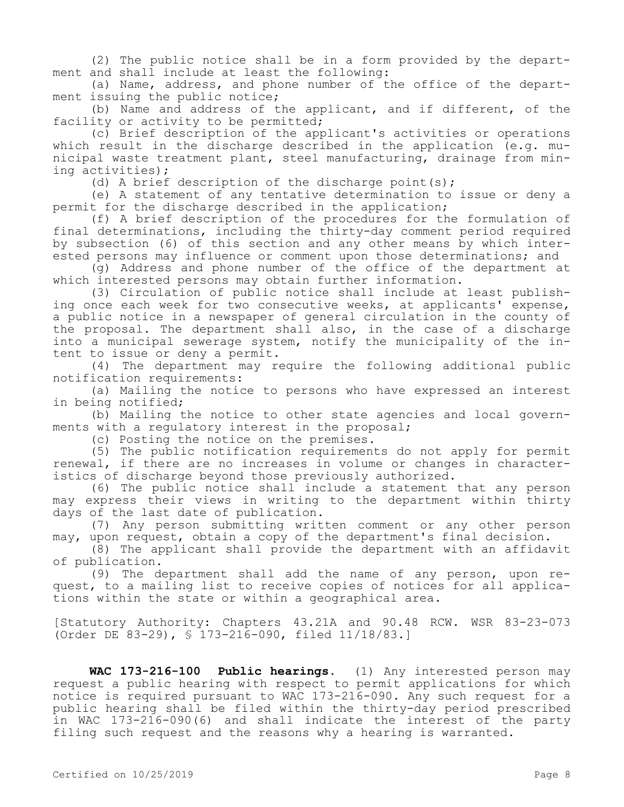(2) The public notice shall be in a form provided by the department and shall include at least the following:

(a) Name, address, and phone number of the office of the department issuing the public notice;

(b) Name and address of the applicant, and if different, of the facility or activity to be permitted;

(c) Brief description of the applicant's activities or operations which result in the discharge described in the application (e.g. municipal waste treatment plant, steel manufacturing, drainage from mining activities);

(d) A brief description of the discharge point(s);

(e) A statement of any tentative determination to issue or deny a permit for the discharge described in the application;

(f) A brief description of the procedures for the formulation of final determinations, including the thirty-day comment period required by subsection (6) of this section and any other means by which interested persons may influence or comment upon those determinations; and

(g) Address and phone number of the office of the department at which interested persons may obtain further information.

(3) Circulation of public notice shall include at least publishing once each week for two consecutive weeks, at applicants' expense, a public notice in a newspaper of general circulation in the county of the proposal. The department shall also, in the case of a discharge into a municipal sewerage system, notify the municipality of the intent to issue or deny a permit.

(4) The department may require the following additional public notification requirements:

(a) Mailing the notice to persons who have expressed an interest in being notified;

(b) Mailing the notice to other state agencies and local governments with a regulatory interest in the proposal;

(c) Posting the notice on the premises.

(5) The public notification requirements do not apply for permit renewal, if there are no increases in volume or changes in characteristics of discharge beyond those previously authorized.

(6) The public notice shall include a statement that any person may express their views in writing to the department within thirty days of the last date of publication.

(7) Any person submitting written comment or any other person may, upon request, obtain a copy of the department's final decision.

(8) The applicant shall provide the department with an affidavit of publication.

(9) The department shall add the name of any person, upon request, to a mailing list to receive copies of notices for all applications within the state or within a geographical area.

[Statutory Authority: Chapters 43.21A and 90.48 RCW. WSR 83-23-073 (Order DE 83-29), § 173-216-090, filed 11/18/83.]

**WAC 173-216-100 Public hearings.** (1) Any interested person may request a public hearing with respect to permit applications for which notice is required pursuant to WAC 173-216-090. Any such request for a public hearing shall be filed within the thirty-day period prescribed in WAC 173-216-090(6) and shall indicate the interest of the party filing such request and the reasons why a hearing is warranted.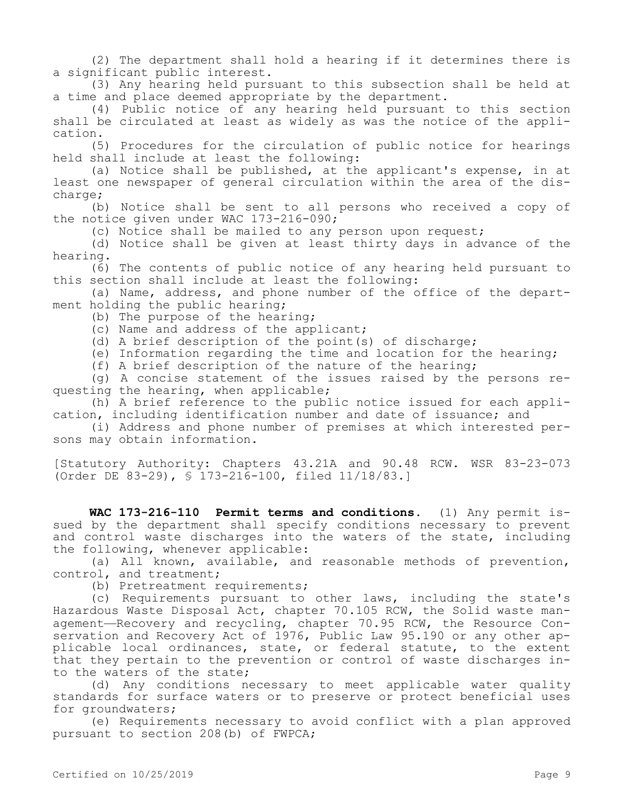(2) The department shall hold a hearing if it determines there is a significant public interest.

(3) Any hearing held pursuant to this subsection shall be held at a time and place deemed appropriate by the department.

(4) Public notice of any hearing held pursuant to this section shall be circulated at least as widely as was the notice of the application.

(5) Procedures for the circulation of public notice for hearings held shall include at least the following:

(a) Notice shall be published, at the applicant's expense, in at least one newspaper of general circulation within the area of the discharge;

(b) Notice shall be sent to all persons who received a copy of the notice given under WAC 173-216-090;

(c) Notice shall be mailed to any person upon request;

(d) Notice shall be given at least thirty days in advance of the hearing.

(6) The contents of public notice of any hearing held pursuant to this section shall include at least the following:

(a) Name, address, and phone number of the office of the department holding the public hearing;

(b) The purpose of the hearing;

(c) Name and address of the applicant;

(d) A brief description of the point(s) of discharge;

(e) Information regarding the time and location for the hearing;

(f) A brief description of the nature of the hearing;

(g) A concise statement of the issues raised by the persons requesting the hearing, when applicable;

(h) A brief reference to the public notice issued for each application, including identification number and date of issuance; and

(i) Address and phone number of premises at which interested persons may obtain information.

[Statutory Authority: Chapters 43.21A and 90.48 RCW. WSR 83-23-073 (Order DE 83-29), § 173-216-100, filed 11/18/83.]

**WAC 173-216-110 Permit terms and conditions.** (1) Any permit issued by the department shall specify conditions necessary to prevent and control waste discharges into the waters of the state, including the following, whenever applicable:

(a) All known, available, and reasonable methods of prevention, control, and treatment;

(b) Pretreatment requirements;

(c) Requirements pursuant to other laws, including the state's Hazardous Waste Disposal Act, chapter 70.105 RCW, the Solid waste management—Recovery and recycling, chapter 70.95 RCW, the Resource Conservation and Recovery Act of 1976, Public Law 95.190 or any other applicable local ordinances, state, or federal statute, to the extent that they pertain to the prevention or control of waste discharges into the waters of the state;

(d) Any conditions necessary to meet applicable water quality standards for surface waters or to preserve or protect beneficial uses for groundwaters;

(e) Requirements necessary to avoid conflict with a plan approved pursuant to section 208(b) of FWPCA;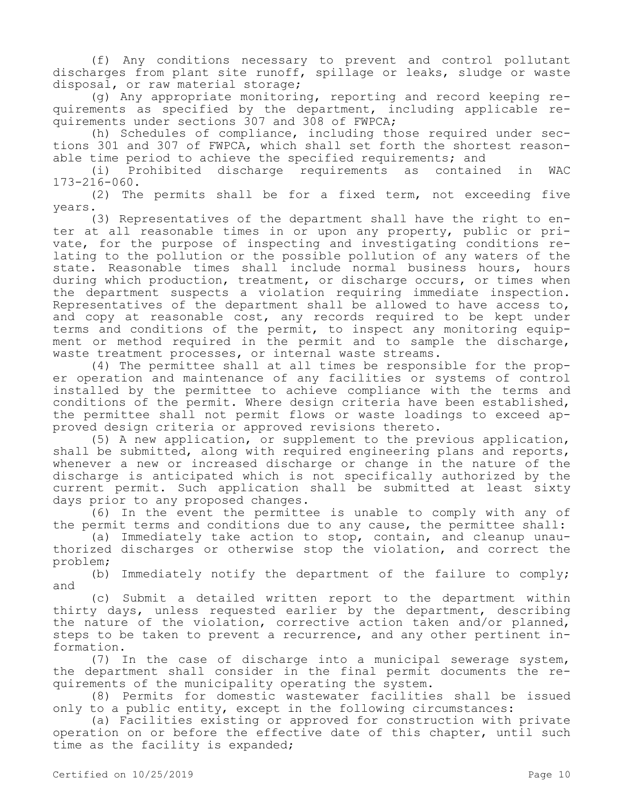(f) Any conditions necessary to prevent and control pollutant discharges from plant site runoff, spillage or leaks, sludge or waste disposal, or raw material storage;

(g) Any appropriate monitoring, reporting and record keeping requirements as specified by the department, including applicable requirements under sections 307 and 308 of FWPCA;

(h) Schedules of compliance, including those required under sections 301 and 307 of FWPCA, which shall set forth the shortest reasonable time period to achieve the specified requirements; and

(i) Prohibited discharge requirements as contained in WAC 173-216-060.

(2) The permits shall be for a fixed term, not exceeding five years.

(3) Representatives of the department shall have the right to enter at all reasonable times in or upon any property, public or private, for the purpose of inspecting and investigating conditions relating to the pollution or the possible pollution of any waters of the state. Reasonable times shall include normal business hours, hours during which production, treatment, or discharge occurs, or times when the department suspects a violation requiring immediate inspection. Representatives of the department shall be allowed to have access to, and copy at reasonable cost, any records required to be kept under terms and conditions of the permit, to inspect any monitoring equipment or method required in the permit and to sample the discharge, waste treatment processes, or internal waste streams.

(4) The permittee shall at all times be responsible for the proper operation and maintenance of any facilities or systems of control installed by the permittee to achieve compliance with the terms and conditions of the permit. Where design criteria have been established, the permittee shall not permit flows or waste loadings to exceed approved design criteria or approved revisions thereto.

(5) A new application, or supplement to the previous application, shall be submitted, along with required engineering plans and reports, whenever a new or increased discharge or change in the nature of the discharge is anticipated which is not specifically authorized by the current permit. Such application shall be submitted at least sixty days prior to any proposed changes.

(6) In the event the permittee is unable to comply with any of the permit terms and conditions due to any cause, the permittee shall:

(a) Immediately take action to stop, contain, and cleanup unauthorized discharges or otherwise stop the violation, and correct the problem;

(b) Immediately notify the department of the failure to comply; and

(c) Submit a detailed written report to the department within thirty days, unless requested earlier by the department, describing the nature of the violation, corrective action taken and/or planned, steps to be taken to prevent a recurrence, and any other pertinent information.

(7) In the case of discharge into a municipal sewerage system, the department shall consider in the final permit documents the requirements of the municipality operating the system.

(8) Permits for domestic wastewater facilities shall be issued only to a public entity, except in the following circumstances:

(a) Facilities existing or approved for construction with private operation on or before the effective date of this chapter, until such time as the facility is expanded;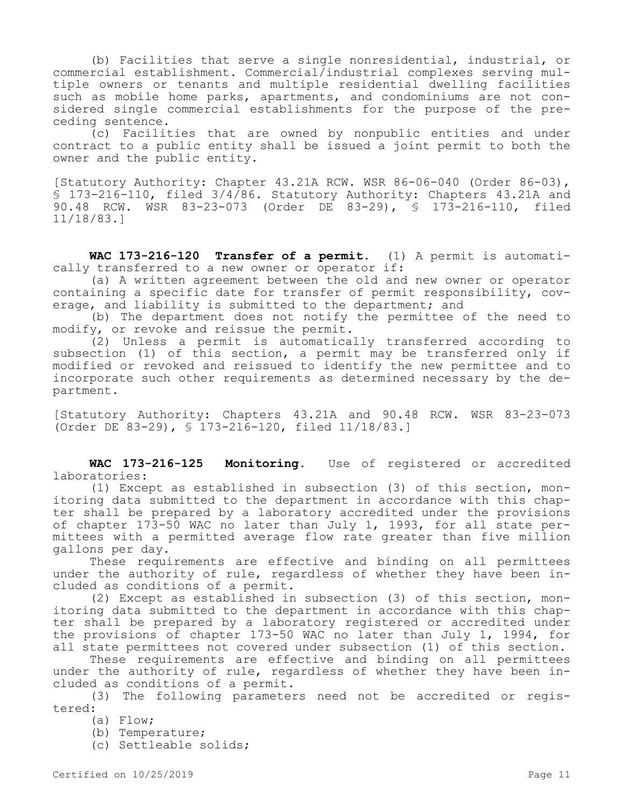(b) Facilities that serve a single nonresidential, industrial, or commercial establishment. Commercial/industrial complexes serving multiple owners or tenants and multiple residential dwelling facilities such as mobile home parks, apartments, and condominiums are not considered single commercial establishments for the purpose of the preceding sentence.

(c) Facilities that are owned by nonpublic entities and under contract to a public entity shall be issued a joint permit to both the owner and the public entity.

[Statutory Authority: Chapter 43.21A RCW. WSR 86-06-040 (Order 86-03), § 173-216-110, filed 3/4/86. Statutory Authority: Chapters 43.21A and 90.48 RCW. WSR 83-23-073 (Order DE 83-29), § 173-216-110, filed 11/18/83.]

**WAC 173-216-120 Transfer of a permit.** (1) A permit is automatically transferred to a new owner or operator if:

(a) A written agreement between the old and new owner or operator containing a specific date for transfer of permit responsibility, coverage, and liability is submitted to the department; and

(b) The department does not notify the permittee of the need to modify, or revoke and reissue the permit.

(2) Unless a permit is automatically transferred according to subsection (1) of this section, a permit may be transferred only if modified or revoked and reissued to identify the new permittee and to incorporate such other requirements as determined necessary by the department.

[Statutory Authority: Chapters 43.21A and 90.48 RCW. WSR 83-23-073 (Order DE 83-29), § 173-216-120, filed 11/18/83.]

**WAC 173-216-125 Monitoring.** Use of registered or accredited laboratories:

(1) Except as established in subsection (3) of this section, monitoring data submitted to the department in accordance with this chapter shall be prepared by a laboratory accredited under the provisions of chapter 173-50 WAC no later than July 1, 1993, for all state permittees with a permitted average flow rate greater than five million gallons per day.

These requirements are effective and binding on all permittees under the authority of rule, regardless of whether they have been included as conditions of a permit.

(2) Except as established in subsection (3) of this section, monitoring data submitted to the department in accordance with this chapter shall be prepared by a laboratory registered or accredited under the provisions of chapter 173-50 WAC no later than July 1, 1994, for all state permittees not covered under subsection (1) of this section.

These requirements are effective and binding on all permittees under the authority of rule, regardless of whether they have been included as conditions of a permit.

(3) The following parameters need not be accredited or registered:

(a) Flow;

(b) Temperature;

(c) Settleable solids;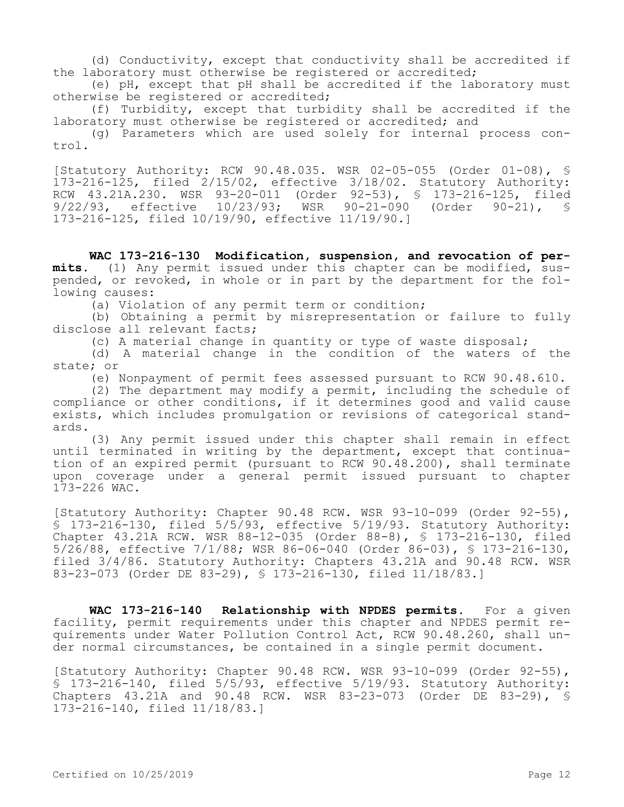(d) Conductivity, except that conductivity shall be accredited if the laboratory must otherwise be registered or accredited;

(e) pH, except that pH shall be accredited if the laboratory must otherwise be registered or accredited;

(f) Turbidity, except that turbidity shall be accredited if the laboratory must otherwise be registered or accredited; and

(g) Parameters which are used solely for internal process control.

[Statutory Authority: RCW 90.48.035. WSR 02-05-055 (Order 01-08), § 173-216-125, filed 2/15/02, effective 3/18/02. Statutory Authority: RCW 43.21A.230. WSR 93-20-011 (Order 92-53), § 173-216-125, filed<br>9/22/93, effective 10/23/93; WSR 90-21-090 (Order 90-21), § 9/22/93, effective 10/23/93; WSR 173-216-125, filed 10/19/90, effective 11/19/90.]

**WAC 173-216-130 Modification, suspension, and revocation of per-**<br>mits. (1) Any permit issued under this chapter can be modified, sus**mits.** (1) Any permit issued under this chapter can be modified, suspended, or revoked, in whole or in part by the department for the following causes:

(a) Violation of any permit term or condition;

(b) Obtaining a permit by misrepresentation or failure to fully disclose all relevant facts;

(c) A material change in quantity or type of waste disposal;

(d) A material change in the condition of the waters of the state; or

(e) Nonpayment of permit fees assessed pursuant to RCW 90.48.610.

(2) The department may modify a permit, including the schedule of compliance or other conditions, if it determines good and valid cause exists, which includes promulgation or revisions of categorical standards.

(3) Any permit issued under this chapter shall remain in effect until terminated in writing by the department, except that continuation of an expired permit (pursuant to RCW 90.48.200), shall terminate upon coverage under a general permit issued pursuant to chapter 173-226 WAC.

[Statutory Authority: Chapter 90.48 RCW. WSR 93-10-099 (Order 92-55), § 173-216-130, filed 5/5/93, effective 5/19/93. Statutory Authority: Chapter 43.21A RCW. WSR 88-12-035 (Order 88-8), § 173-216-130, filed 5/26/88, effective 7/1/88; WSR 86-06-040 (Order 86-03), § 173-216-130, filed 3/4/86. Statutory Authority: Chapters 43.21A and 90.48 RCW. WSR 83-23-073 (Order DE 83-29), § 173-216-130, filed 11/18/83.]

**WAC 173-216-140 Relationship with NPDES permits.** For a given facility, permit requirements under this chapter and NPDES permit requirements under Water Pollution Control Act, RCW 90.48.260, shall under normal circumstances, be contained in a single permit document.

[Statutory Authority: Chapter 90.48 RCW. WSR 93-10-099 (Order 92-55),  $\overline{S}$  173-216-140, filed 5/5/93, effective 5/19/93. Statutory Authority: Chapters 43.21A and 90.48 RCW. WSR 83-23-073 (Order DE 83-29), § 173-216-140, filed 11/18/83.]